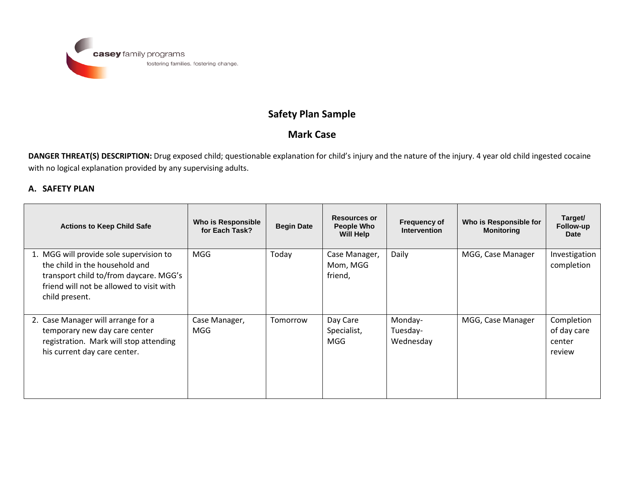

## **Safety Plan Sample**

## **Mark Case**

**DANGER THREAT(S) DESCRIPTION:** Drug exposed child; questionable explanation for child's injury and the nature of the injury. 4 year old child ingested cocaine with no logical explanation provided by any supervising adults.

## **A. SAFETY PLAN**

| <b>Actions to Keep Child Safe</b>                                                                                                                                                 | Who is Responsible<br>for Each Task? | <b>Begin Date</b> | <b>Resources or</b><br><b>People Who</b><br>Will Help | <b>Frequency of</b><br><b>Intervention</b> | Who is Responsible for<br><b>Monitoring</b> | Target/<br>Follow-up<br>Date                  |
|-----------------------------------------------------------------------------------------------------------------------------------------------------------------------------------|--------------------------------------|-------------------|-------------------------------------------------------|--------------------------------------------|---------------------------------------------|-----------------------------------------------|
| 1. MGG will provide sole supervision to<br>the child in the household and<br>transport child to/from daycare. MGG's<br>friend will not be allowed to visit with<br>child present. | MGG                                  | Today             | Case Manager,<br>Mom, MGG<br>friend,                  | Daily                                      | MGG, Case Manager                           | Investigation<br>completion                   |
| 2. Case Manager will arrange for a<br>temporary new day care center<br>registration. Mark will stop attending<br>his current day care center.                                     | Case Manager,<br>MGG                 | Tomorrow          | Day Care<br>Specialist,<br><b>MGG</b>                 | Monday-<br>Tuesday-<br>Wednesday           | MGG, Case Manager                           | Completion<br>of day care<br>center<br>review |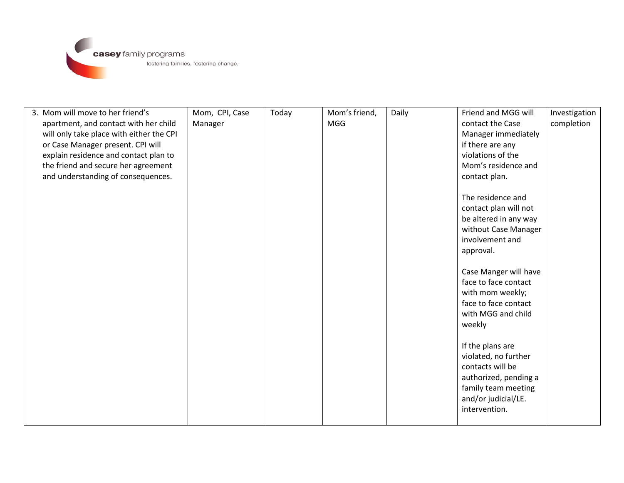

| 3. Mom will move to her friend's         | Mom, CPI, Case | Today | Mom's friend, | Daily | Friend and MGG will   | Investigation |
|------------------------------------------|----------------|-------|---------------|-------|-----------------------|---------------|
| apartment, and contact with her child    | Manager        |       | <b>MGG</b>    |       | contact the Case      | completion    |
| will only take place with either the CPI |                |       |               |       | Manager immediately   |               |
| or Case Manager present. CPI will        |                |       |               |       | if there are any      |               |
| explain residence and contact plan to    |                |       |               |       | violations of the     |               |
| the friend and secure her agreement      |                |       |               |       | Mom's residence and   |               |
| and understanding of consequences.       |                |       |               |       | contact plan.         |               |
|                                          |                |       |               |       |                       |               |
|                                          |                |       |               |       | The residence and     |               |
|                                          |                |       |               |       | contact plan will not |               |
|                                          |                |       |               |       | be altered in any way |               |
|                                          |                |       |               |       | without Case Manager  |               |
|                                          |                |       |               |       | involvement and       |               |
|                                          |                |       |               |       | approval.             |               |
|                                          |                |       |               |       |                       |               |
|                                          |                |       |               |       | Case Manger will have |               |
|                                          |                |       |               |       | face to face contact  |               |
|                                          |                |       |               |       | with mom weekly;      |               |
|                                          |                |       |               |       | face to face contact  |               |
|                                          |                |       |               |       | with MGG and child    |               |
|                                          |                |       |               |       | weekly                |               |
|                                          |                |       |               |       |                       |               |
|                                          |                |       |               |       | If the plans are      |               |
|                                          |                |       |               |       | violated, no further  |               |
|                                          |                |       |               |       | contacts will be      |               |
|                                          |                |       |               |       | authorized, pending a |               |
|                                          |                |       |               |       | family team meeting   |               |
|                                          |                |       |               |       | and/or judicial/LE.   |               |
|                                          |                |       |               |       | intervention.         |               |
|                                          |                |       |               |       |                       |               |